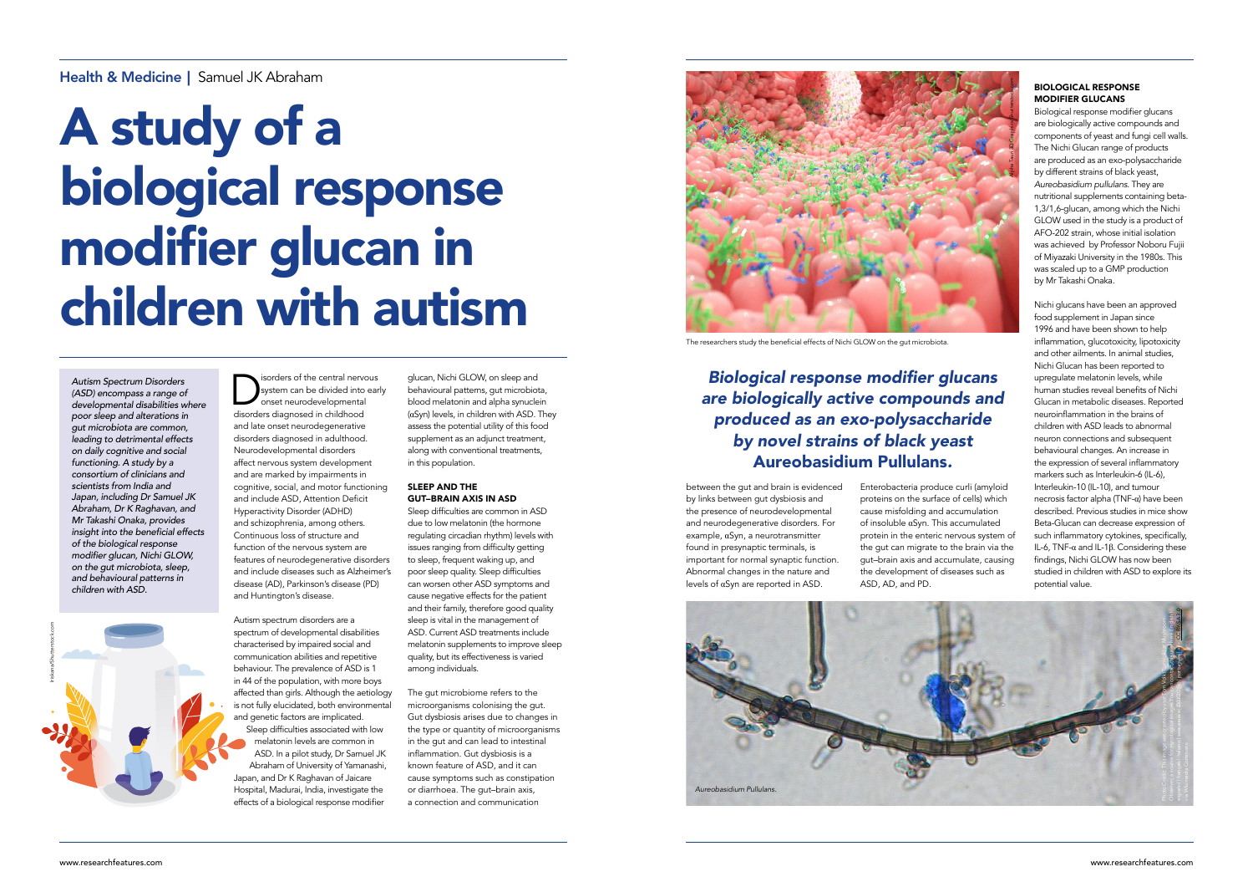*Autism Spectrum Disorders (ASD) encompass a range of developmental disabilities where poor sleep and alterations in gut microbiota are common, leading to detrimental effects on daily cognitive and social functioning. A study by a consortium of clinicians and scientists from India and Japan, including Dr Samuel JK Abraham, Dr K Raghavan, and Mr Takashi Onaka, provides*  insight into the beneficial effects *of the biological response*  modifier glucan, Nichi GLOW, *on the gut microbiota, sleep, and behavioural patterns in children with ASD.* 

system can be divided into ear<br>
onset neurodevelopmental<br>
disorders diagnosed in childhood system can be divided into early onset neurodevelopmental disorders diagnosed in childhood and late onset neurodegenerative disorders diagnosed in adulthood. Neurodevelopmental disorders affect nervous system development and are marked by impairments in cognitive, social, and motor functioning and include ASD, Attention Deficit Hyperactivity Disorder (ADHD) and schizophrenia, among others. Continuous loss of structure and function of the nervous system are features of neurodegenerative disorders and include diseases such as Alzheimer's disease (AD), Parkinson's disease (PD) and Huntington's disease.

Autism spectrum disorders are a spectrum of developmental disabilities characterised by impaired social and communication abilities and repetitive behaviour. The prevalence of ASD is 1 in 44 of the population, with more boys affected than girls. Although the aetiology is not fully elucidated, both environmental and genetic factors are implicated. Sleep difficulties associated with low melatonin levels are common in ASD. In a pilot study, Dr Samuel JK Abraham of University of Yamanashi, Japan, and Dr K Raghavan of Jaicare Hospital, Madurai, India, investigate the effects of a biological response modifier

glucan, Nichi GLOW, on sleep and behavioural patterns, gut microbiota, blood melatonin and alpha synuclein (αSyn) levels, in children with ASD. They assess the potential utility of this food supplement as an adjunct treatment, along with conventional treatments, in this population.

#### SLEEP AND THE GUT–BRAIN AXIS IN ASD

Sleep difficulties are common in ASD due to low melatonin (the hormone regulating circadian rhythm) levels with issues ranging from difficulty getting to sleep, frequent waking up, and poor sleep quality. Sleep difficulties can worsen other ASD symptoms and cause negative effects for the patient and their family, therefore good quality sleep is vital in the management of ASD. Current ASD treatments include melatonin supplements to improve sleep quality, but its effectiveness is varied among individuals.

The gut microbiome refers to the microorganisms colonising the gut. Gut dysbiosis arises due to changes in the type or quantity of microorganisms in the gut and can lead to intestinal inflammation. Gut dysbiosis is a known feature of ASD, and it can cause symptoms such as constipation or diarrhoea. The gut–brain axis, a connection and communication

#### Health & Medicine | Samuel JK Abraham

# A study of a biological response modifier glucan in children with autism

#### Biological response modifier glucans are biologically active compounds and produced as an exo-polysaccharide *by novel strains of black yeast*  Aureobasidium Pullulans*.*

between the gut and brain is evidenced by links between gut dysbiosis and the presence of neurodevelopmental and neurodegenerative disorders. For example, αSyn, a neurotransmitter found in presynaptic terminals, is important for normal synaptic function. Abnormal changes in the nature and levels of αSyn are reported in ASD.

Enterobacteria produce curli (amyloid proteins on the surface of cells) which cause misfolding and accumulation of insoluble αSyn. This accumulated protein in the enteric nervous system of .<br>the gut can migrate to the brain via the gut–brain axis and accumulate, causing the development of diseases such as ASD, AD, and PD.

#### BIOLOGICAL RESPONSE MODIFIER GLUCANS

Biological response modifier glucans are biologically active compounds and components of yeast and fungi cell walls. The Nichi Glucan range of products are produced as an exo-polysaccharide by different strains of black yeast, *Aureobasidium pullulans*. They are nutritional supplements containing beta-1,3/1,6-glucan, among which the Nichi GLOW used in the study is a product of AFO-202 strain, whose initial isolation was achieved by Professor Noboru Fujii of Miyazaki University in the 1980s. This was scaled up to a GMP production by Mr Takashi Onaka.



The researchers study the beneficial effects of Nichi GLOW on the gut microbiota.

Nichi glucans have been an approved food supplement in Japan since 1996 and have been shown to help inflammation, glucotoxicity, lipotoxicity and other ailments. In animal studies, Nichi Glucan has been reported to upregulate melatonin levels, while human studies reveal benefits of Nichi Glucan in metabolic diseases. Reported neuroinflammation in the brains of children with ASD leads to abnormal neuron connections and subsequent behavioural changes. An increase in the expression of several inflammatory markers such as Interleukin-6 (IL-6), Interleukin-10 (IL-10), and tumour necrosis factor alpha (TNF-α) have been described. Previous studies in mice show Beta-Glucan can decrease expression of such inflammatory cytokines, specifically, IL-6, TNF-α and IL-1β. Considering these findings, Nichi GLOW has now been studied in children with ASD to explore its potential value.